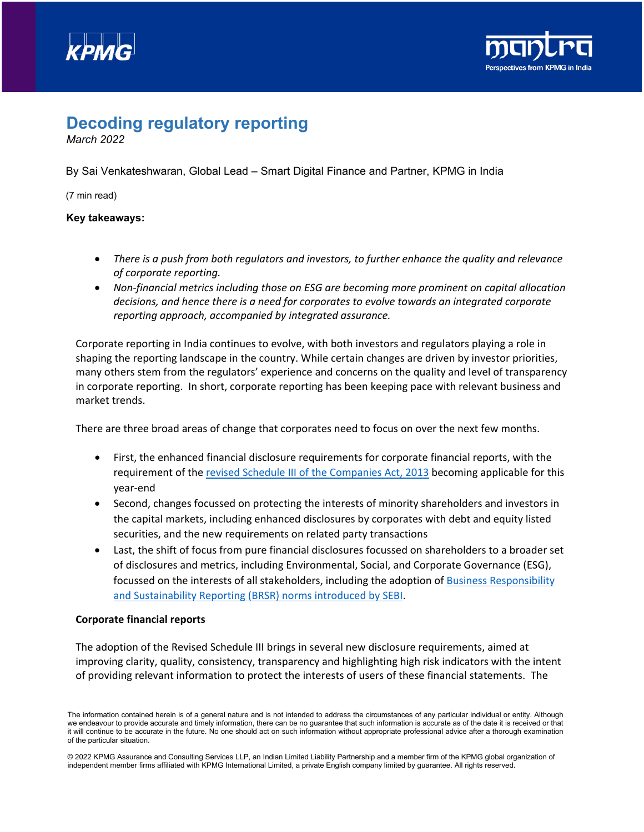



# **Decoding regulatory reporting**

*March 2022*

By Sai Venkateshwaran, Global Lead – Smart Digital Finance and Partner, KPMG in India

(7 min read)

## **Key takeaways:**

- *There is a push from both regulators and investors, to further enhance the quality and relevance of corporate reporting.*
- *Non-financial metrics including those on ESG are becoming more prominent on capital allocation decisions, and hence there is a need for corporates to evolve towards an integrated corporate reporting approach, accompanied by integrated assurance.*

Corporate reporting in India continues to evolve, with both investors and regulators playing a role in shaping the reporting landscape in the country. While certain changes are driven by investor priorities, many others stem from the regulators' experience and concerns on the quality and level of transparency in corporate reporting. In short, corporate reporting has been keeping pace with relevant business and market trends.

There are three broad areas of change that corporates need to focus on over the next few months.

- First, the enhanced financial disclosure requirements for corporate financial reports, with the requirement of the [revised Schedule III of the Companies Act, 2013](https://assets.kpmg/content/dam/kpmg/in/pdf/2021/05/chap-1-aau-schedule-III-to-the-companies-act-2013.pdf) becoming applicable for this year-end
- Second, changes focussed on protecting the interests of minority shareholders and investors in the capital markets, including enhanced disclosures by corporates with debt and equity listed securities, and the new requirements on related party transactions
- Last, the shift of focus from pure financial disclosures focussed on shareholders to a broader set of disclosures and metrics, including Environmental, Social, and Corporate Governance (ESG), focussed on the interests of all stakeholders, including the adoption of [Business Responsibility](https://home.kpmg/in/en/home/insights/2021/06/firstnotes-sebi-business-responsibility-sustainability-reporting-listed-companies.html) [and Sustainability Reporting \(BRSR\) norms introduced by SEBI.](https://home.kpmg/in/en/home/insights/2021/06/firstnotes-sebi-business-responsibility-sustainability-reporting-listed-companies.html)

### **Corporate financial reports**

The adoption of the Revised Schedule III brings in several new disclosure requirements, aimed at improving clarity, quality, consistency, transparency and highlighting high risk indicators with the intent of providing relevant information to protect the interests of users of these financial statements. The

The information contained herein is of a general nature and is not intended to address the circumstances of any particular individual or entity. Although we endeavour to provide accurate and timely information, there can be no guarantee that such information is accurate as of the date it is received or that it will continue to be accurate in the future. No one should act on such information without appropriate professional advice after a thorough examination of the particular situation.

<sup>© 2022</sup> KPMG Assurance and Consulting Services LLP, an Indian Limited Liability Partnership and a member firm of the KPMG global organization of independent member firms affiliated with KPMG International Limited, a private English company limited by guarantee. All rights reserved.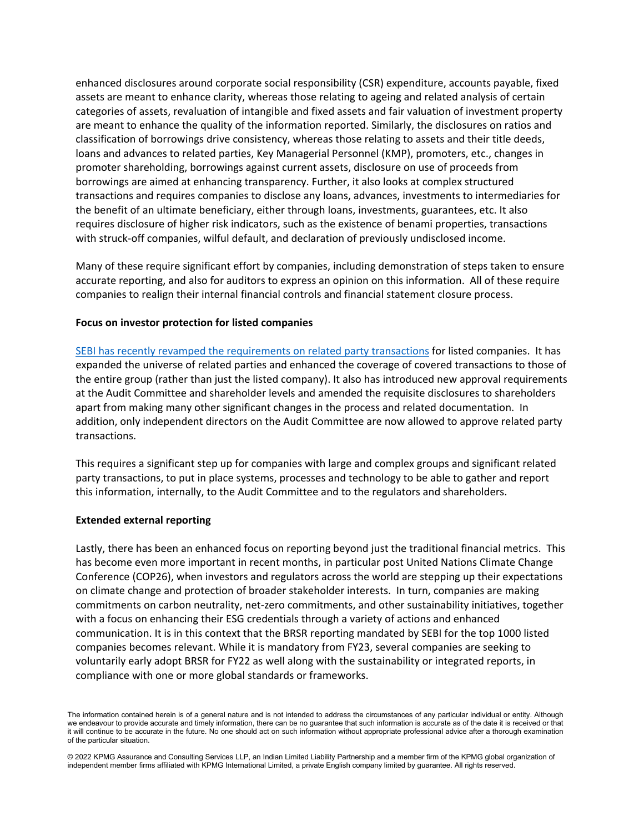enhanced disclosures around corporate social responsibility (CSR) expenditure, accounts payable, fixed assets are meant to enhance clarity, whereas those relating to ageing and related analysis of certain categories of assets, revaluation of intangible and fixed assets and fair valuation of investment property are meant to enhance the quality of the information reported. Similarly, the disclosures on ratios and classification of borrowings drive consistency, whereas those relating to assets and their title deeds, loans and advances to related parties, Key Managerial Personnel (KMP), promoters, etc., changes in promoter shareholding, borrowings against current assets, disclosure on use of proceeds from borrowings are aimed at enhancing transparency. Further, it also looks at complex structured transactions and requires companies to disclose any loans, advances, investments to intermediaries for the benefit of an ultimate beneficiary, either through loans, investments, guarantees, etc. It also requires disclosure of higher risk indicators, such as the existence of benami properties, transactions with struck-off companies, wilful default, and declaration of previously undisclosed income.

Many of these require significant effort by companies, including demonstration of steps taken to ensure accurate reporting, and also for auditors to express an opinion on this information. All of these require companies to realign their internal financial controls and financial statement closure process.

#### **Focus on investor protection for listed companies**

[SEBI has recently revamped the requirements on related party transactions](https://home.kpmg/in/en/home/insights/2021/12/firstnotes-sebi-related-party-transactions-listing-regulations.html) for listed companies. It has expanded the universe of related parties and enhanced the coverage of covered transactions to those of the entire group (rather than just the listed company). It also has introduced new approval requirements at the Audit Committee and shareholder levels and amended the requisite disclosures to shareholders apart from making many other significant changes in the process and related documentation. In addition, only independent directors on the Audit Committee are now allowed to approve related party transactions.

This requires a significant step up for companies with large and complex groups and significant related party transactions, to put in place systems, processes and technology to be able to gather and report this information, internally, to the Audit Committee and to the regulators and shareholders.

#### **Extended external reporting**

Lastly, there has been an enhanced focus on reporting beyond just the traditional financial metrics. This has become even more important in recent months, in particular post United Nations Climate Change Conference (COP26), when investors and regulators across the world are stepping up their expectations on climate change and protection of broader stakeholder interests. In turn, companies are making commitments on carbon neutrality, net-zero commitments, and other sustainability initiatives, together with a focus on enhancing their ESG credentials through a variety of actions and enhanced communication. It is in this context that the BRSR reporting mandated by SEBI for the top 1000 listed companies becomes relevant. While it is mandatory from FY23, several companies are seeking to voluntarily early adopt BRSR for FY22 as well along with the sustainability or integrated reports, in compliance with one or more global standards or frameworks.

The information contained herein is of a general nature and is not intended to address the circumstances of any particular individual or entity. Although we endeavour to provide accurate and timely information, there can be no guarantee that such information is accurate as of the date it is received or that it will continue to be accurate in the future. No one should act on such information without appropriate professional advice after a thorough examination of the particular situation.

<sup>© 2022</sup> KPMG Assurance and Consulting Services LLP, an Indian Limited Liability Partnership and a member firm of the KPMG global organization of independent member firms affiliated with KPMG International Limited, a private English company limited by guarantee. All rights reserved.